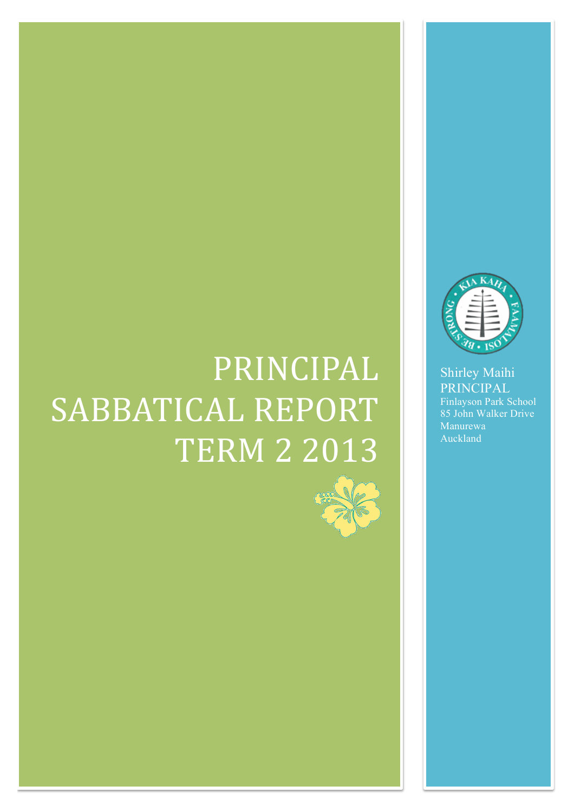# PRINCIPAL SABBATICAL REPORT **TERM 2 2013**





Shirley Maihi PRINCIPAL Finlayson Park School 85 John Walker Drive Manurewa Auckland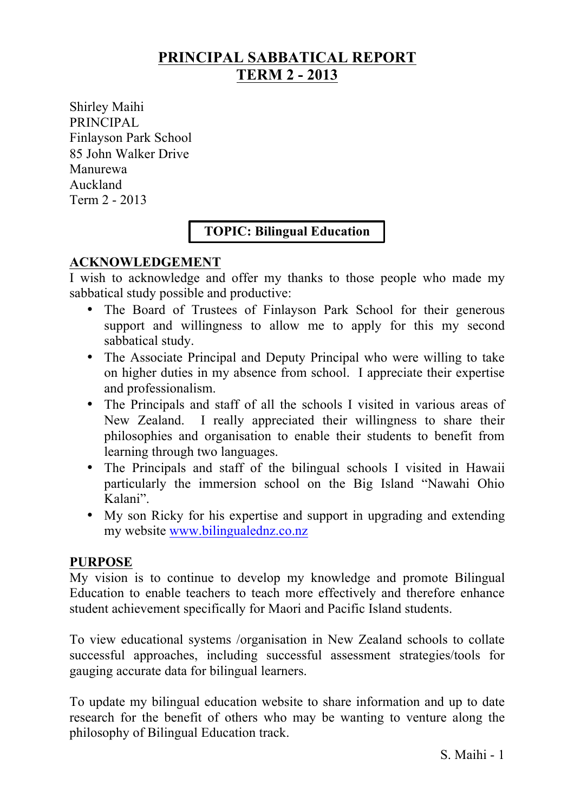# **PRINCIPAL SABBATICAL REPORT TERM 2 - 2013**

Shirley Maihi PRINCIPAL Finlayson Park School 85 John Walker Drive Manurewa Auckland Term 2 - 2013

# **TOPIC: Bilingual Education**

## **ACKNOWLEDGEMENT**

I wish to acknowledge and offer my thanks to those people who made my sabbatical study possible and productive:

- The Board of Trustees of Finlayson Park School for their generous support and willingness to allow me to apply for this my second sabbatical study.
- The Associate Principal and Deputy Principal who were willing to take on higher duties in my absence from school. I appreciate their expertise and professionalism.
- The Principals and staff of all the schools I visited in various areas of New Zealand. I really appreciated their willingness to share their philosophies and organisation to enable their students to benefit from learning through two languages.
- The Principals and staff of the bilingual schools I visited in Hawaii particularly the immersion school on the Big Island "Nawahi Ohio Kalani".
- My son Ricky for his expertise and support in upgrading and extending my website www.bilingualednz.co.nz

#### **PURPOSE**

My vision is to continue to develop my knowledge and promote Bilingual Education to enable teachers to teach more effectively and therefore enhance student achievement specifically for Maori and Pacific Island students.

To view educational systems /organisation in New Zealand schools to collate successful approaches, including successful assessment strategies/tools for gauging accurate data for bilingual learners.

To update my bilingual education website to share information and up to date research for the benefit of others who may be wanting to venture along the philosophy of Bilingual Education track.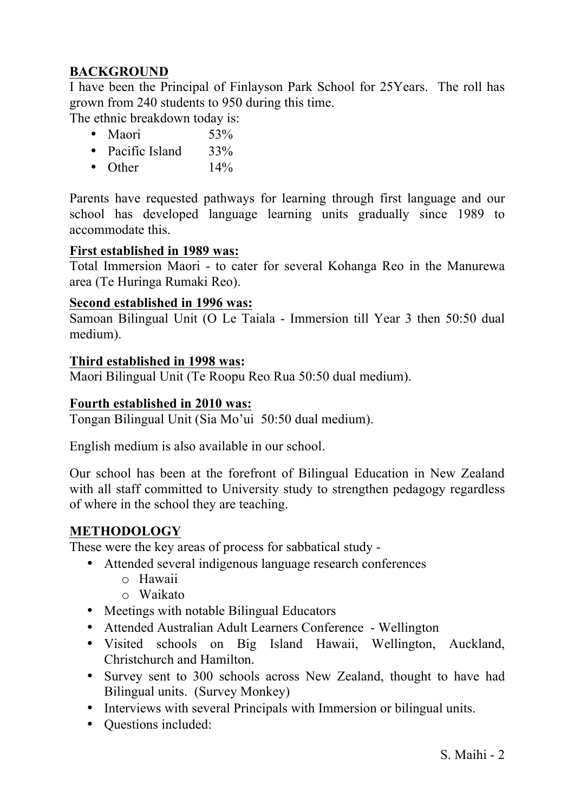# **BACKGROUND**

I have been the Principal of Finlayson Park School for 25Years. The roll has grown from 240 students to 950 during this time.

The ethnic breakdown today is:

|           | • Maori        | 53% |
|-----------|----------------|-----|
| $\bullet$ | Pacific Island | 33% |
|           | Other          | 14% |

Parents have requested pathways for learning through first language and our school has developed language learning units gradually since 1989 to accommodate this.

#### **First established in 1989 was:**

Total Immersion Maori - to cater for several Kohanga Reo in the Manurewa area (Te Huringa Rumaki Reo).

#### **Second established in 1996 was:**

Samoan Bilingual Unit (O Le Taiala - Immersion till Year 3 then 50:50 dual medium).

#### **Third established in 1998 was:**

Maori Bilingual Unit (Te Roopu Reo Rua 50:50 dual medium).

#### **Fourth established in 2010 was:**

Tongan Bilingual Unit (Sia Mo'ui 50:50 dual medium).

English medium is also available in our school.

Our school has been at the forefront of Bilingual Education in New Zealand with all staff committed to University study to strengthen pedagogy regardless of where in the school they are teaching.

#### **METHODOLOGY**

These were the key areas of process for sabbatical study -

- Attended several indigenous language research conferences
	- o Hawaii
	- o Waikato
- Meetings with notable Bilingual Educators
- Attended Australian Adult Learners Conference Wellington
- Visited schools on Big Island Hawaii, Wellington, Auckland, Christchurch and Hamilton.
- Survey sent to 300 schools across New Zealand, thought to have had Bilingual units. (Survey Monkey)
- Interviews with several Principals with Immersion or bilingual units.
- Ouestions included: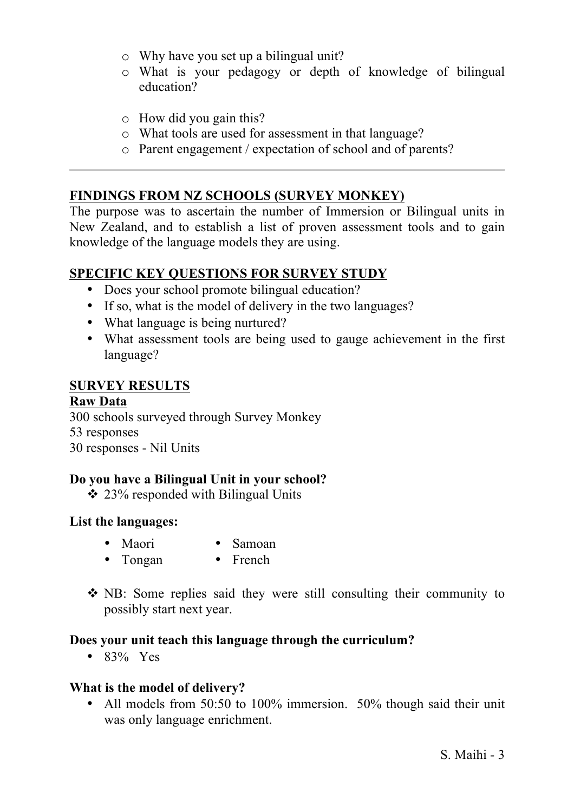- o Why have you set up a bilingual unit?
- o What is your pedagogy or depth of knowledge of bilingual education?
- o How did you gain this?
- o What tools are used for assessment in that language?
- o Parent engagement / expectation of school and of parents?

# **FINDINGS FROM NZ SCHOOLS (SURVEY MONKEY)**

The purpose was to ascertain the number of Immersion or Bilingual units in New Zealand, and to establish a list of proven assessment tools and to gain knowledge of the language models they are using.

# **SPECIFIC KEY QUESTIONS FOR SURVEY STUDY**

- Does your school promote bilingual education?
- If so, what is the model of delivery in the two languages?
- What language is being nurtured?
- What assessment tools are being used to gauge achievement in the first language?

## **SURVEY RESULTS**

#### **Raw Data**

300 schools surveyed through Survey Monkey 53 responses 30 responses - Nil Units

## **Do you have a Bilingual Unit in your school?**

 $\div$  23% responded with Bilingual Units

## **List the languages:**

- Maori • Samoan
- Tongan French
- NB: Some replies said they were still consulting their community to possibly start next year.

## **Does your unit teach this language through the curriculum?**

• 83% Yes

## **What is the model of delivery?**

• All models from 50:50 to 100% immersion. 50% though said their unit was only language enrichment.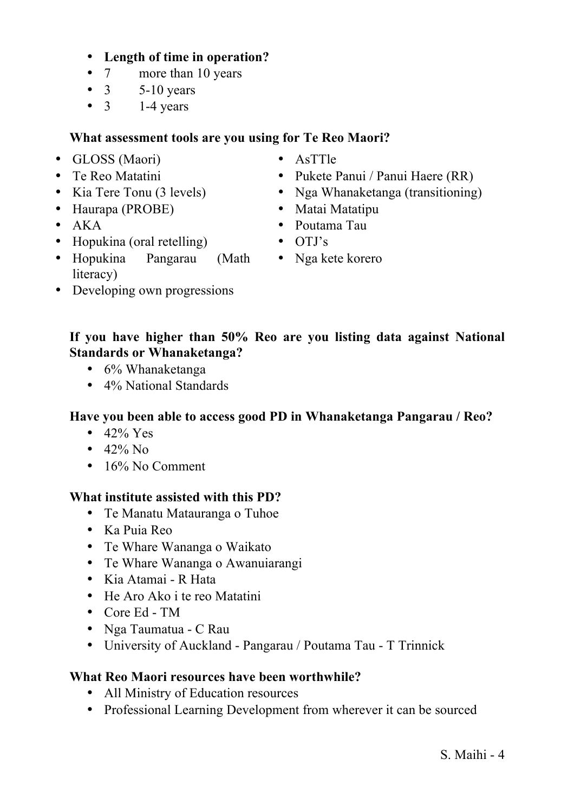- **Length of time in operation?**
- 7 more than 10 years
- $3$  5-10 years
- $\bullet$  3 1-4 years

## **What assessment tools are you using for Te Reo Maori?**

- GLOSS (Maori)
- Te Reo Matatini
- Kia Tere Tonu (3 levels)
- Haurapa (PROBE)
- AKA
- Hopukina (oral retelling)
- Hopukina Pangarau (Math literacy)
- AsTTle
- Pukete Panui / Panui Haere (RR)
- Nga Whanaketanga (transitioning)
- Matai Matatipu
- Poutama Tau
- OTJ's
- Nga kete korero
- Developing own progressions

## **If you have higher than 50% Reo are you listing data against National Standards or Whanaketanga?**

- 6% Whanaketanga
- 4% National Standards

## **Have you been able to access good PD in Whanaketanga Pangarau / Reo?**

- $42\%$  Yes
- $42\%$  No
- 16% No Comment

## **What institute assisted with this PD?**

- Te Manatu Matauranga o Tuhoe
- Ka Puia Reo
- Te Whare Wananga o Waikato
- Te Whare Wananga o Awanuiarangi
- Kia Atamai R Hata
- He Aro Ako i te reo Matatini
- Core Ed TM
- Nga Taumatua C Rau
- University of Auckland Pangarau / Poutama Tau T Trinnick

## **What Reo Maori resources have been worthwhile?**

- All Ministry of Education resources
- Professional Learning Development from wherever it can be sourced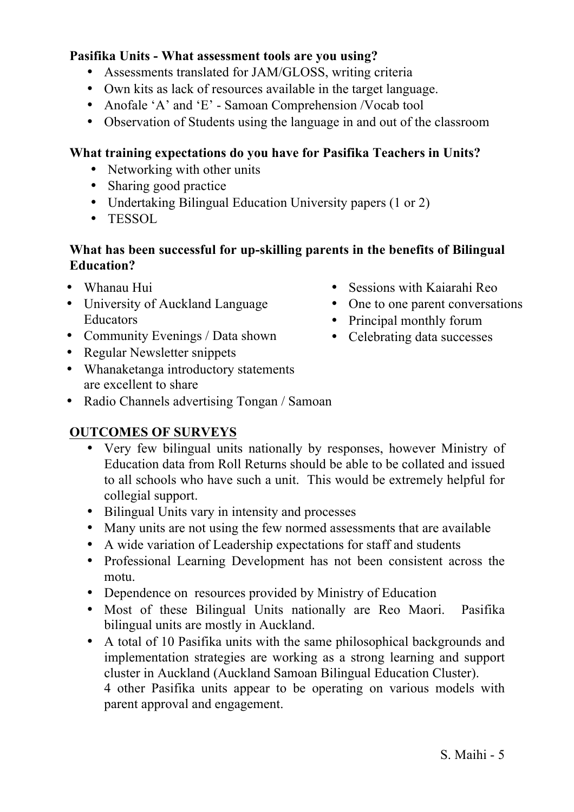#### **Pasifika Units - What assessment tools are you using?**

- Assessments translated for JAM/GLOSS, writing criteria
- Own kits as lack of resources available in the target language.
- Anofale 'A' and 'E' Samoan Comprehension /Vocab tool
- Observation of Students using the language in and out of the classroom

## **What training expectations do you have for Pasifika Teachers in Units?**

- Networking with other units
- Sharing good practice
- Undertaking Bilingual Education University papers (1 or 2)
- TESSOL

#### **What has been successful for up-skilling parents in the benefits of Bilingual Education?**

- Whanau Hui
- University of Auckland Language Educators
- Community Evenings / Data shown
- Regular Newsletter snippets
- Whanaketanga introductory statements are excellent to share
- Radio Channels advertising Tongan / Samoan

# **OUTCOMES OF SURVEYS**

- Very few bilingual units nationally by responses, however Ministry of Education data from Roll Returns should be able to be collated and issued to all schools who have such a unit. This would be extremely helpful for collegial support.
- Bilingual Units vary in intensity and processes
- Many units are not using the few normed assessments that are available
- A wide variation of Leadership expectations for staff and students
- Professional Learning Development has not been consistent across the motu.
- Dependence on resources provided by Ministry of Education
- Most of these Bilingual Units nationally are Reo Maori. Pasifika bilingual units are mostly in Auckland.
- A total of 10 Pasifika units with the same philosophical backgrounds and implementation strategies are working as a strong learning and support cluster in Auckland (Auckland Samoan Bilingual Education Cluster). 4 other Pasifika units appear to be operating on various models with parent approval and engagement.
- Sessions with Kaiarahi Reo
- One to one parent conversations
- Principal monthly forum
- Celebrating data successes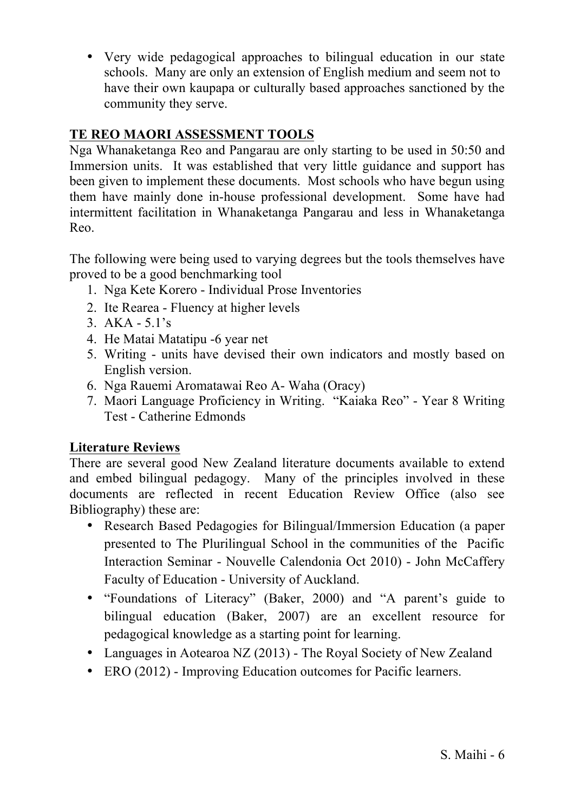• Very wide pedagogical approaches to bilingual education in our state schools. Many are only an extension of English medium and seem not to have their own kaupapa or culturally based approaches sanctioned by the community they serve.

# **TE REO MAORI ASSESSMENT TOOLS**

Nga Whanaketanga Reo and Pangarau are only starting to be used in 50:50 and Immersion units. It was established that very little guidance and support has been given to implement these documents. Most schools who have begun using them have mainly done in-house professional development. Some have had intermittent facilitation in Whanaketanga Pangarau and less in Whanaketanga Reo.

The following were being used to varying degrees but the tools themselves have proved to be a good benchmarking tool

- 1. Nga Kete Korero Individual Prose Inventories
- 2. Ite Rearea Fluency at higher levels
- 3. AKA 5.1's
- 4. He Matai Matatipu -6 year net
- 5. Writing units have devised their own indicators and mostly based on English version.
- 6. Nga Rauemi Aromatawai Reo A- Waha (Oracy)
- 7. Maori Language Proficiency in Writing. "Kaiaka Reo" Year 8 Writing Test - Catherine Edmonds

## **Literature Reviews**

There are several good New Zealand literature documents available to extend and embed bilingual pedagogy. Many of the principles involved in these documents are reflected in recent Education Review Office (also see Bibliography) these are:

- Research Based Pedagogies for Bilingual/Immersion Education (a paper presented to The Plurilingual School in the communities of the Pacific Interaction Seminar - Nouvelle Calendonia Oct 2010) - John McCaffery Faculty of Education - University of Auckland.
- "Foundations of Literacy" (Baker, 2000) and "A parent's guide to bilingual education (Baker, 2007) are an excellent resource for pedagogical knowledge as a starting point for learning.
- Languages in Aotearoa NZ (2013) The Royal Society of New Zealand
- ERO (2012) Improving Education outcomes for Pacific learners.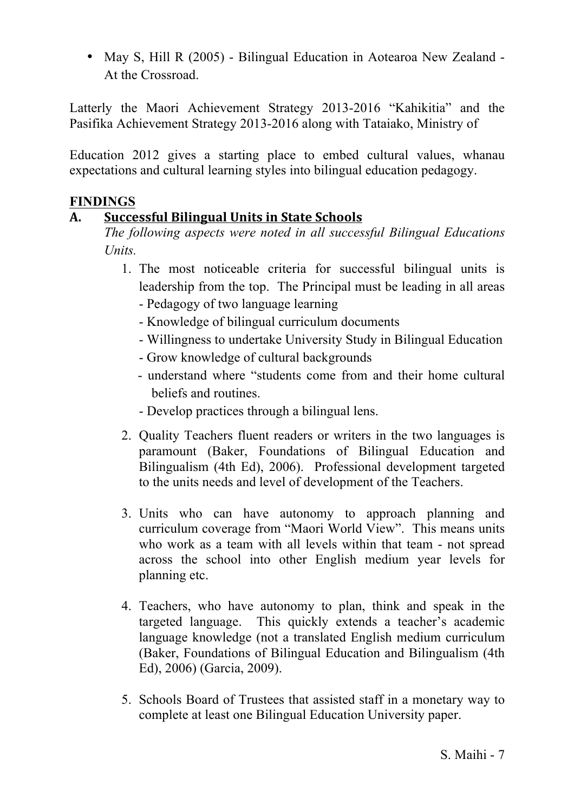• May S, Hill R (2005) - Bilingual Education in Aotearoa New Zealand -At the Crossroad.

Latterly the Maori Achievement Strategy 2013-2016 "Kahikitia" and the Pasifika Achievement Strategy 2013-2016 along with Tataiako, Ministry of

Education 2012 gives a starting place to embed cultural values, whanau expectations and cultural learning styles into bilingual education pedagogy.

# **FINDINGS**

# **A. Successful\*Bilingual\*Units\*in\*State\*Schools**

*The following aspects were noted in all successful Bilingual Educations Units.*

- 1. The most noticeable criteria for successful bilingual units is leadership from the top. The Principal must be leading in all areas
	- Pedagogy of two language learning
	- Knowledge of bilingual curriculum documents
	- Willingness to undertake University Study in Bilingual Education
	- Grow knowledge of cultural backgrounds
	- understand where "students come from and their home cultural beliefs and routines.
	- Develop practices through a bilingual lens.
- 2. Quality Teachers fluent readers or writers in the two languages is paramount (Baker, Foundations of Bilingual Education and Bilingualism (4th Ed), 2006). Professional development targeted to the units needs and level of development of the Teachers.
- 3. Units who can have autonomy to approach planning and curriculum coverage from "Maori World View". This means units who work as a team with all levels within that team - not spread across the school into other English medium year levels for planning etc.
- 4. Teachers, who have autonomy to plan, think and speak in the targeted language. This quickly extends a teacher's academic language knowledge (not a translated English medium curriculum (Baker, Foundations of Bilingual Education and Bilingualism (4th Ed), 2006) (Garcia, 2009).
- 5. Schools Board of Trustees that assisted staff in a monetary way to complete at least one Bilingual Education University paper.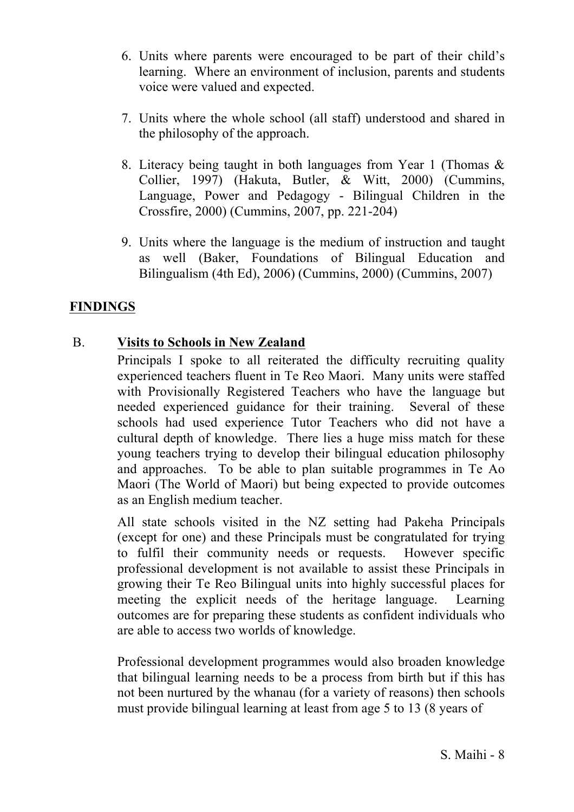- 6. Units where parents were encouraged to be part of their child's learning. Where an environment of inclusion, parents and students voice were valued and expected.
- 7. Units where the whole school (all staff) understood and shared in the philosophy of the approach.
- 8. Literacy being taught in both languages from Year 1 (Thomas & Collier, 1997) (Hakuta, Butler, & Witt, 2000) (Cummins, Language, Power and Pedagogy - Bilingual Children in the Crossfire, 2000) (Cummins, 2007, pp. 221-204)
- 9. Units where the language is the medium of instruction and taught as well (Baker, Foundations of Bilingual Education and Bilingualism (4th Ed), 2006) (Cummins, 2000) (Cummins, 2007)

# **FINDINGS**

## B. **Visits to Schools in New Zealand**

Principals I spoke to all reiterated the difficulty recruiting quality experienced teachers fluent in Te Reo Maori. Many units were staffed with Provisionally Registered Teachers who have the language but needed experienced guidance for their training. Several of these schools had used experience Tutor Teachers who did not have a cultural depth of knowledge. There lies a huge miss match for these young teachers trying to develop their bilingual education philosophy and approaches. To be able to plan suitable programmes in Te Ao Maori (The World of Maori) but being expected to provide outcomes as an English medium teacher.

All state schools visited in the NZ setting had Pakeha Principals (except for one) and these Principals must be congratulated for trying to fulfil their community needs or requests. However specific professional development is not available to assist these Principals in growing their Te Reo Bilingual units into highly successful places for meeting the explicit needs of the heritage language. Learning outcomes are for preparing these students as confident individuals who are able to access two worlds of knowledge.

Professional development programmes would also broaden knowledge that bilingual learning needs to be a process from birth but if this has not been nurtured by the whanau (for a variety of reasons) then schools must provide bilingual learning at least from age 5 to 13 (8 years of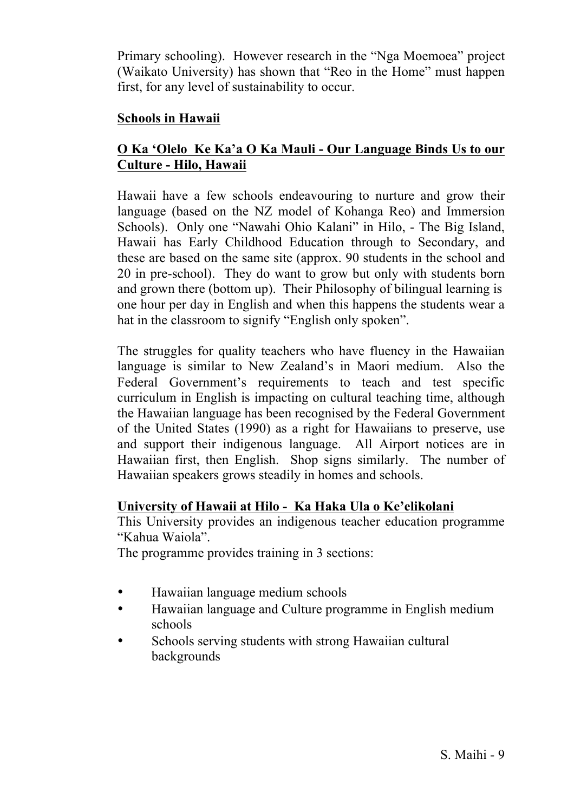Primary schooling). However research in the "Nga Moemoea" project (Waikato University) has shown that "Reo in the Home" must happen first, for any level of sustainability to occur.

#### **Schools in Hawaii**

## **O Ka 'Olelo Ke Ka'a O Ka Mauli - Our Language Binds Us to our Culture - Hilo, Hawaii**

Hawaii have a few schools endeavouring to nurture and grow their language (based on the NZ model of Kohanga Reo) and Immersion Schools). Only one "Nawahi Ohio Kalani" in Hilo, - The Big Island, Hawaii has Early Childhood Education through to Secondary, and these are based on the same site (approx. 90 students in the school and 20 in pre-school). They do want to grow but only with students born and grown there (bottom up). Their Philosophy of bilingual learning is one hour per day in English and when this happens the students wear a hat in the classroom to signify "English only spoken".

The struggles for quality teachers who have fluency in the Hawaiian language is similar to New Zealand's in Maori medium. Also the Federal Government's requirements to teach and test specific curriculum in English is impacting on cultural teaching time, although the Hawaiian language has been recognised by the Federal Government of the United States (1990) as a right for Hawaiians to preserve, use and support their indigenous language. All Airport notices are in Hawaiian first, then English. Shop signs similarly. The number of Hawaiian speakers grows steadily in homes and schools.

#### **University of Hawaii at Hilo - Ka Haka Ula o Ke'elikolani**

This University provides an indigenous teacher education programme "Kahua Waiola".

The programme provides training in 3 sections:

- Hawaiian language medium schools
- Hawaiian language and Culture programme in English medium schools
- Schools serving students with strong Hawaiian cultural backgrounds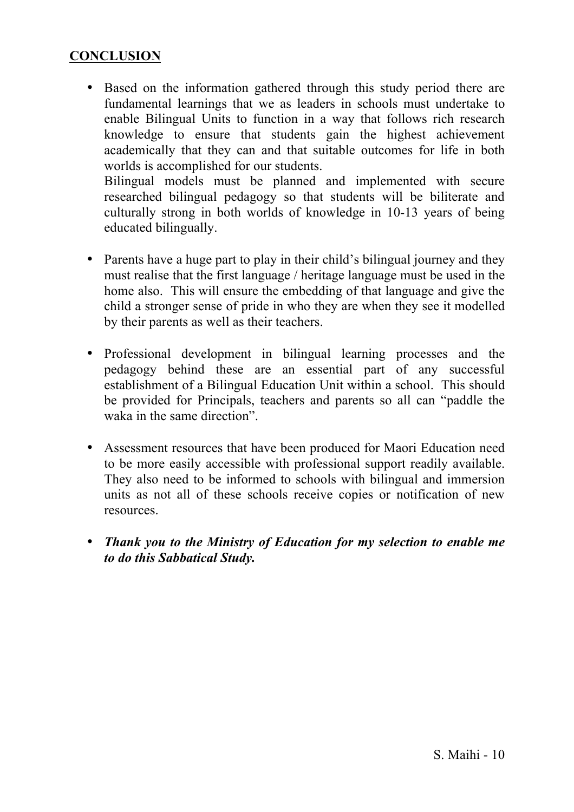## **CONCLUSION**

- Based on the information gathered through this study period there are fundamental learnings that we as leaders in schools must undertake to enable Bilingual Units to function in a way that follows rich research knowledge to ensure that students gain the highest achievement academically that they can and that suitable outcomes for life in both worlds is accomplished for our students. Bilingual models must be planned and implemented with secure researched bilingual pedagogy so that students will be biliterate and culturally strong in both worlds of knowledge in 10-13 years of being educated bilingually.
- Parents have a huge part to play in their child's bilingual journey and they must realise that the first language / heritage language must be used in the home also. This will ensure the embedding of that language and give the child a stronger sense of pride in who they are when they see it modelled by their parents as well as their teachers.
- Professional development in bilingual learning processes and the pedagogy behind these are an essential part of any successful establishment of a Bilingual Education Unit within a school. This should be provided for Principals, teachers and parents so all can "paddle the waka in the same direction".
- Assessment resources that have been produced for Maori Education need to be more easily accessible with professional support readily available. They also need to be informed to schools with bilingual and immersion units as not all of these schools receive copies or notification of new resources.
- *Thank you to the Ministry of Education for my selection to enable me to do this Sabbatical Study.*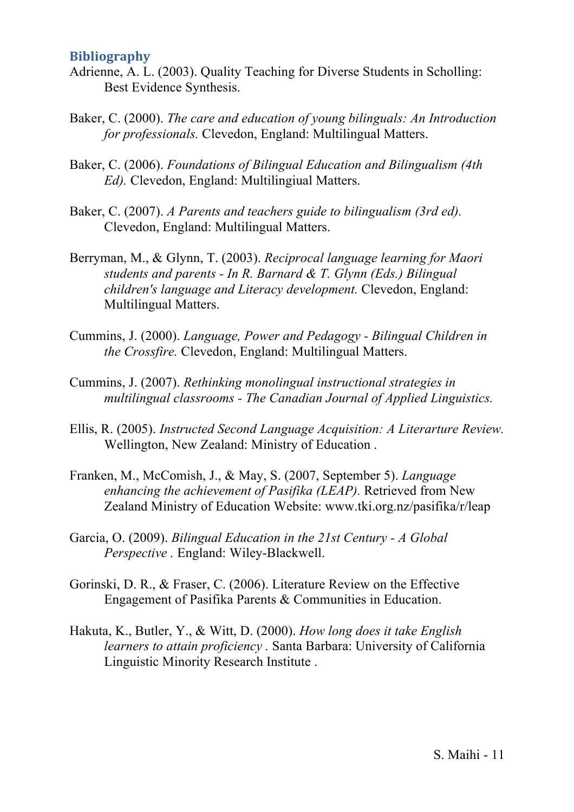#### **Bibliography**

- Adrienne, A. L. (2003). Quality Teaching for Diverse Students in Scholling: Best Evidence Synthesis.
- Baker, C. (2000). *The care and education of young bilinguals: An Introduction for professionals.* Clevedon, England: Multilingual Matters.
- Baker, C. (2006). *Foundations of Bilingual Education and Bilingualism (4th Ed).* Clevedon, England: Multilingiual Matters.
- Baker, C. (2007). *A Parents and teachers guide to bilingualism (3rd ed).* Clevedon, England: Multilingual Matters.
- Berryman, M., & Glynn, T. (2003). *Reciprocal language learning for Maori students and parents - In R. Barnard & T. Glynn (Eds.) Bilingual children's language and Literacy development.* Clevedon, England: Multilingual Matters.
- Cummins, J. (2000). *Language, Power and Pedagogy - Bilingual Children in the Crossfire.* Clevedon, England: Multilingual Matters.
- Cummins, J. (2007). *Rethinking monolingual instructional strategies in multilingual classrooms - The Canadian Journal of Applied Linguistics.*
- Ellis, R. (2005). *Instructed Second Language Acquisition: A Literarture Review.* Wellington, New Zealand: Ministry of Education .
- Franken, M., McComish, J., & May, S. (2007, September 5). *Language enhancing the achievement of Pasifika (LEAP).* Retrieved from New Zealand Ministry of Education Website: www.tki.org.nz/pasifika/r/leap
- Garcia, O. (2009). *Bilingual Education in the 21st Century - A Global Perspective .* England: Wiley-Blackwell.
- Gorinski, D. R., & Fraser, C. (2006). Literature Review on the Effective Engagement of Pasifika Parents & Communities in Education.
- Hakuta, K., Butler, Y., & Witt, D. (2000). *How long does it take English learners to attain proficiency .* Santa Barbara: University of California Linguistic Minority Research Institute .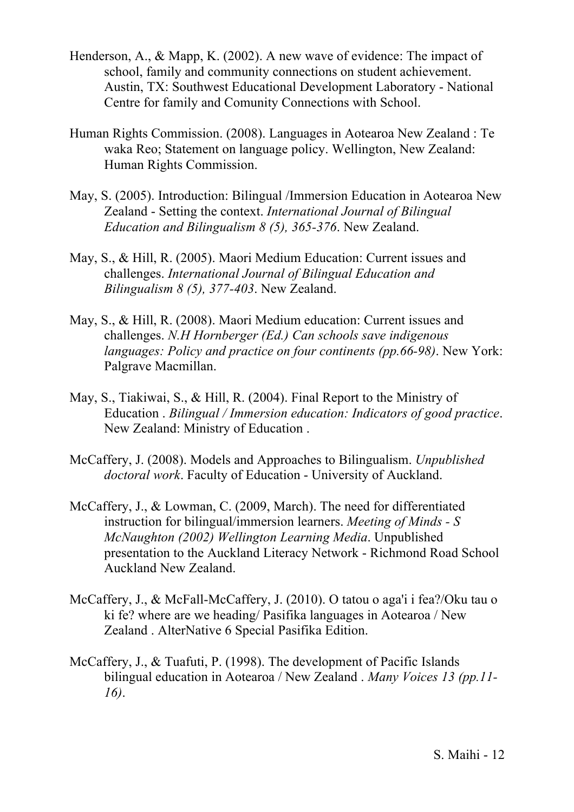- Henderson, A., & Mapp, K. (2002). A new wave of evidence: The impact of school, family and community connections on student achievement. Austin, TX: Southwest Educational Development Laboratory - National Centre for family and Comunity Connections with School.
- Human Rights Commission. (2008). Languages in Aotearoa New Zealand : Te waka Reo; Statement on language policy. Wellington, New Zealand: Human Rights Commission.
- May, S. (2005). Introduction: Bilingual /Immersion Education in Aotearoa New Zealand - Setting the context. *International Journal of Bilingual Education and Bilingualism 8 (5), 365-376*. New Zealand.
- May, S., & Hill, R. (2005). Maori Medium Education: Current issues and challenges. *International Journal of Bilingual Education and Bilingualism 8 (5), 377-403*. New Zealand.
- May, S., & Hill, R. (2008). Maori Medium education: Current issues and challenges. *N.H Hornberger (Ed.) Can schools save indigenous languages: Policy and practice on four continents (pp.66-98)*. New York: Palgrave Macmillan.
- May, S., Tiakiwai, S., & Hill, R. (2004). Final Report to the Ministry of Education . *Bilingual / Immersion education: Indicators of good practice*. New Zealand: Ministry of Education .
- McCaffery, J. (2008). Models and Approaches to Bilingualism. *Unpublished doctoral work*. Faculty of Education - University of Auckland.
- McCaffery, J., & Lowman, C. (2009, March). The need for differentiated instruction for bilingual/immersion learners. *Meeting of Minds - S McNaughton (2002) Wellington Learning Media*. Unpublished presentation to the Auckland Literacy Network - Richmond Road School Auckland New Zealand.
- McCaffery, J., & McFall-McCaffery, J. (2010). O tatou o aga'i i fea?/Oku tau o ki fe? where are we heading/ Pasifika languages in Aotearoa / New Zealand . AlterNative 6 Special Pasifika Edition.
- McCaffery, J., & Tuafuti, P. (1998). The development of Pacific Islands bilingual education in Aotearoa / New Zealand . *Many Voices 13 (pp.11- 16)*.